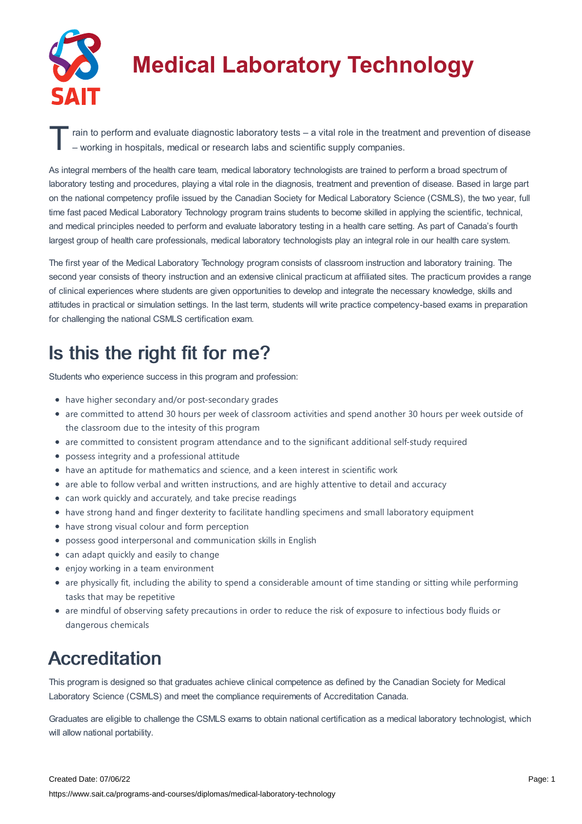

# **Medical Laboratory Technology**

T rain to perform and evaluate diagnostic laboratory tests – a vital role in the treatment and prevention of disease<br>– working in hospitals, medical or research labs and scientific supply companies. – working in hospitals, medical or research labs and scientific supply companies.

As integral members of the health care team, medical laboratory technologists are trained to perform a broad spectrum of laboratory testing and procedures, playing a vital role in the diagnosis, treatment and prevention of disease. Based in large part on the national competency profile issued by the Canadian Society for Medical Laboratory Science (CSMLS), the two year, full time fast paced Medical Laboratory Technology program trains students to become skilled in applying the scientific, technical, and medical principles needed to perform and evaluate laboratory testing in a health care setting. As part of Canada's fourth largest group of health care professionals, medical laboratory technologists play an integral role in our health care system.

The first year of the Medical Laboratory Technology program consists of classroom instruction and laboratory training. The second year consists of theory instruction and an extensive clinical practicum at affiliated sites. The practicum provides a range of clinical experiences where students are given opportunities to develop and integrate the necessary knowledge, skills and attitudes in practical or simulation settings. In the last term, students will write practice competency-based exams in preparation for challenging the national CSMLS certification exam.

## Is this the right fit for me?

Students who experience success in this program and profession:

- have higher secondary and/or post-secondary grades
- are committed to attend 30 hours per week of classroom activities and spend another 30 hours per week outside of the classroom due to the intesity of this program
- are committed to consistent program attendance and to the significant additional self-study required
- possess integrity and a professional attitude
- have an aptitude for mathematics and science, and a keen interest in scientific work
- are able to follow verbal and written instructions, and are highly attentive to detail and accuracy
- can work quickly and accurately, and take precise readings
- have strong hand and finger dexterity to facilitate handling specimens and small laboratory equipment
- have strong visual colour and form perception
- possess good interpersonal and communication skills in English
- can adapt quickly and easily to change
- enjoy working in a team environment
- are physically fit, including the ability to spend a considerable amount of time standing or sitting while performing tasks that may be repetitive
- are mindful of observing safety precautions in order to reduce the risk of exposure to infectious body fluids or dangerous chemicals

### **Accreditation**

This program is designed so that graduates achieve clinical competence as defined by the Canadian Society for Medical Laboratory Science (CSMLS) and meet the compliance requirements of Accreditation Canada.

Graduates are eligible to challenge the CSMLS exams to obtain national certification as a medical laboratory technologist, which will allow national portability.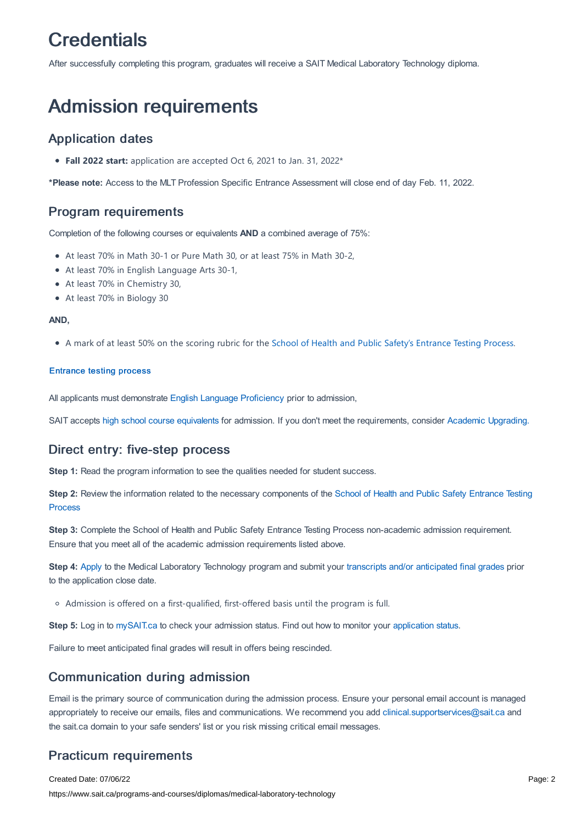## **Credentials**

After successfully completing this program, graduates will receive a SAIT Medical Laboratory Technology diploma.

## Admission requirements

### Application dates

**Fall 2022 start:** application are accepted Oct 6, 2021 to Jan. 31, 2022\*

**\*Please note:** Access to the MLT Profession Specific Entrance Assessment will close end of day Feb. 11, 2022.

#### Program requirements

Completion of the following courses or equivalents **AND** a combined average of 75%:

- At least 70% in Math 30-1 or Pure Math 30, or at least 75% in Math 30-2,
- At least 70% in English Language Arts 30-1,
- At least 70% in Chemistry 30,
- At least 70% in Biology 30

#### **AND,**

A mark of at least 50% on the scoring rubric for the School of Health and Public Safety's [Entrance](https://www.sait.ca/sait-schools/school-of-health-and-public-safety/health-and-public-safety-entrance-testing) Testing Process.

#### [Entrance](https://www.sait.ca/sait-schools/school-of-health-and-public-safety/health-and-public-safety-entrance-testing) testing process

All applicants must demonstrate English Language [Proficiency](https://www.sait.ca/admissions/before-you-apply/english-proficiency) prior to admission,

SAIT accepts high school course [equivalents](https://www.sait.ca/admissions/before-you-apply/high-school-course-equivalencies) for admission. If you don't meet the requirements, consider Academic [Upgrading.](https://www.sait.ca/programs-and-courses/academic-upgrading)

#### Direct entry: five-step process

**Step 1:** Read the program information to see the qualities needed for student success.

**Step 2:** Review the information related to the necessary [components](https://www.sait.ca/sait-schools/school-of-health-and-public-safety/health-and-public-safety-entrance-testing) of the School of Health and Public Safety Entrance Testing Process

**Step 3:** Complete the School of Health and Public Safety Entrance Testing Process non-academic admission requirement. Ensure that you meet all of the academic admission requirements listed above.

**Step 4:** [Apply](https://www.sait.ca/admissions/apply) to the Medical Laboratory Technology program and submit your transcripts and/or [anticipated](https://www.sait.ca/admissions/after-you-apply/transcripts-and-supporting-documents) final grades prior to the application close date.

Admission is offered on a first-qualified, first-offered basis until the program is full.

**Step 5:** Log in to [mySAIT.ca](http://www.mysait.ca/) to check your admission status. Find out how to monitor your [application](https://www.sait.ca/admissions/after-you-apply/tracking-your-application) status.

Failure to meet anticipated final grades will result in offers being rescinded.

#### Communication during admission

Email is the primary source of communication during the admission process. Ensure your personal email account is managed appropriately to receive our emails, files and communications. We recommend you add [clinical.supportservices@sait.ca](https://sait.camailto:clinical.supportservices@sait.ca) and the sait.ca domain to your safe senders' list or you risk missing critical email messages.

### Practicum requirements

Created Date: 07/06/22 https://www.sait.ca/programs-and-courses/diplomas/medical-laboratory-technology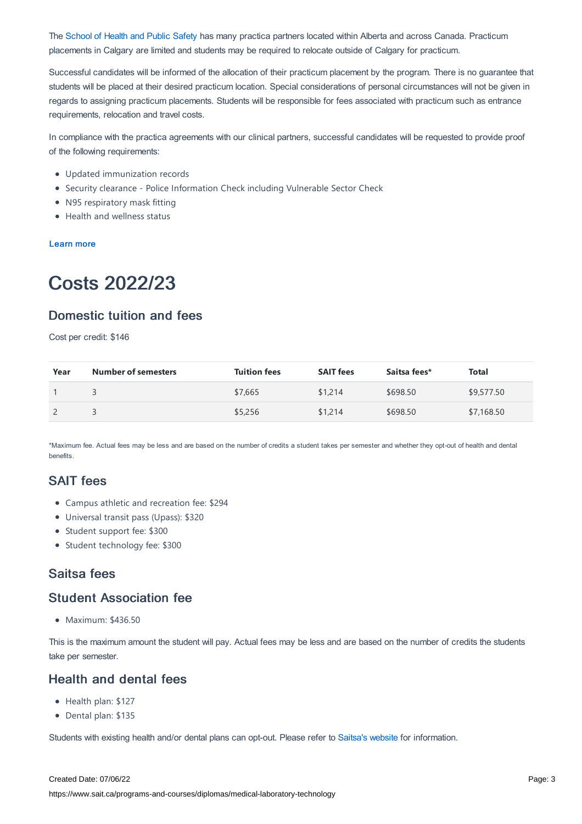The [School](https://www.sait.ca/sait-schools/school-of-health-and-public-safety) of Health and Public Safety has many practica partners located within Alberta and across Canada. Practicum placements in Calgary are limited and students may be required to relocate outside of Calgary for practicum.

Successful candidates will be informed of the allocation of their practicum placement by the program. There is no guarantee that students will be placed at their desired practicum location. Special considerations of personal circumstances will not be given in regards to assigning practicum placements. Students will be responsible for fees associated with practicum such as entrance requirements, relocation and travel costs.

In compliance with the practica agreements with our clinical partners, successful candidates will be requested to provide proof of the following requirements:

- Updated immunization records
- Security clearance Police Information Check including Vulnerable Sector Check
- N95 respiratory mask fitting
- Health and wellness status

#### [Learn](https://www.sait.ca/sait-schools/school-of-health-and-public-safety/health-and-public-safety-program-orientation-requirements) more

## Costs 2022/23

#### Domestic tuition and fees

Cost per credit: \$146

| Year | <b>Number of semesters</b> | <b>Tuition fees</b> | <b>SAIT fees</b> | Saitsa fees* | <b>Total</b> |
|------|----------------------------|---------------------|------------------|--------------|--------------|
|      |                            | \$7,665             | \$1.214          | \$698.50     | \$9,577.50   |
|      |                            | \$5,256             | \$1,214          | \$698.50     | \$7,168.50   |

\*Maximum fee. Actual fees may be less and are based on the number of credits a student takes per semester and whether they opt-out of health and dental benefits.

### SAIT fees

- Campus athletic and recreation fee: \$294
- Universal transit pass (Upass): \$320
- Student support fee: \$300
- Student technology fee: \$300

#### Saitsa fees

#### Student Association fee

Maximum: \$436.50

This is the maximum amount the student will pay. Actual fees may be less and are based on the number of credits the students take per semester.

#### Health and dental fees

- Health plan: \$127
- Dental plan: \$135

Students with existing health and/or dental plans can opt-out. Please refer to [Saitsa's](https://saitsa.com/benefits/) website for information.